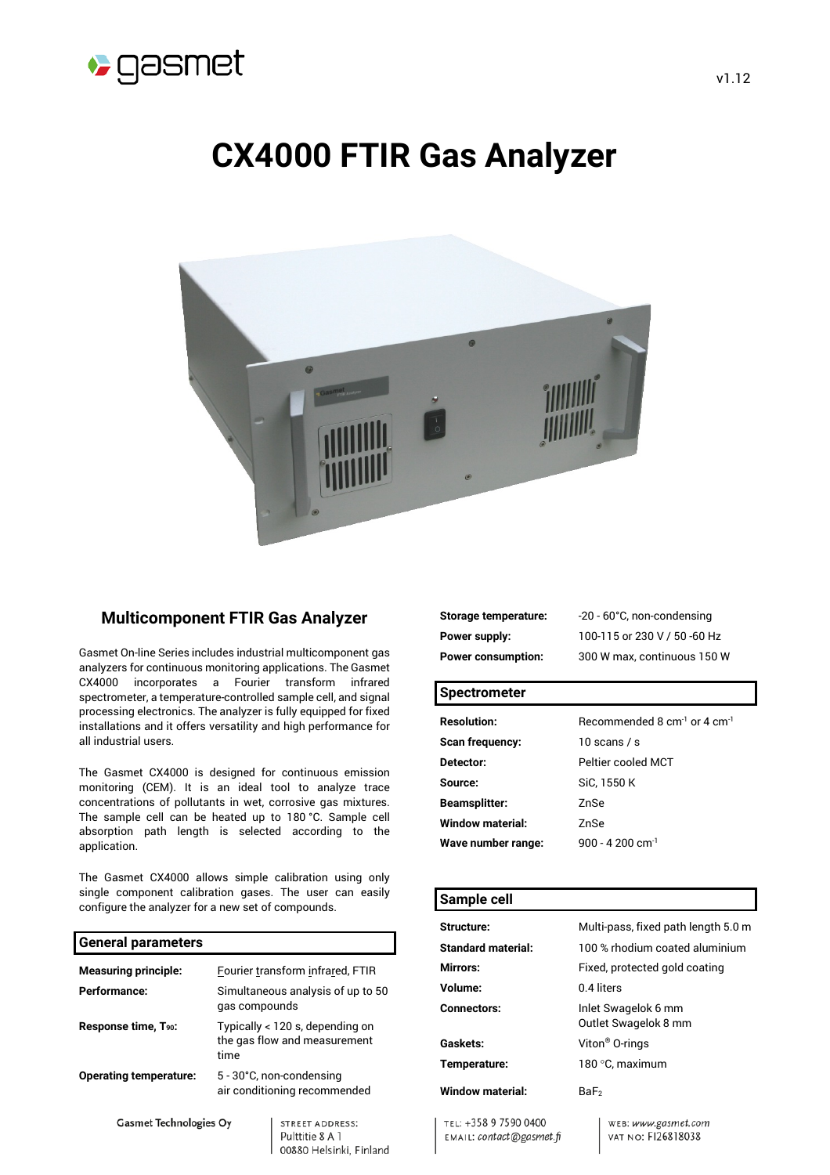

# **CX4000 FTIR Gas Analyzer**



### **Multicomponent FTIR Gas Analyzer**

Gasmet On-line Series includes industrial multicomponent gas analyzers for continuous monitoring applications. The Gasmet CX4000 incorporates a Fourier transform infrared spectrometer, a temperature-controlled sample cell, and signal processing electronics. The analyzer is fully equipped for fixed installations and it offers versatility and high performance for all industrial users.

The Gasmet CX4000 is designed for continuous emission monitoring (CEM). It is an ideal tool to analyze trace concentrations of pollutants in wet, corrosive gas mixtures. The sample cell can be heated up to 180 °C. Sample cell absorption path length is selected according to the application.

The Gasmet CX4000 allows simple calibration using only single component calibration gases. The user can easily configure the analyzer for a new set of compounds.

#### **General parameters**

| <b>Measuring principle:</b>      |               | Fourier transform infrared, FTIR                                |
|----------------------------------|---------------|-----------------------------------------------------------------|
| Performance:                     | gas compounds | Simultaneous analysis of up to 50                               |
| Response time, T <sub>90</sub> : | time          | Typically < 120 s, depending on<br>the gas flow and measurement |
| <b>Operating temperature:</b>    |               | 5 - 30°C, non-condensing<br>air conditioning recommended        |
| <b>Gasmet Technologies Oy</b>    |               | STREET ADDRESS:<br>Pulttitie 8 A 1                              |

00880 Helsinki, Finland

**Storage temperature:** -20 - 60°C, non-condensing **Power supply:** 100-115 or 230 V / 50 -60 Hz **Power consumption:** 300 W max, continuous 150 W

#### **Spectrometer**

| <b>Resolution:</b>      | Recommended 8 $cm^{-1}$ or 4 $cm^{-1}$ |
|-------------------------|----------------------------------------|
| <b>Scan frequency:</b>  | 10 scans / s                           |
| Detector:               | Peltier cooled MCT                     |
| Source:                 | SiC, 1550 K                            |
| <b>Beamsplitter:</b>    | 7nSe                                   |
| <b>Window material:</b> | ZnSe                                   |
| Wave number range:      | 900 - 4.200 cm <sup>-1</sup>           |

# **Sample cell Structure:** Multi-pass, fixed path length 5.0 m **Standard material:** 100 % rhodium coated aluminium **Mirrors:** Fixed, protected gold coating **Volume:** 0.4 liters **Connectors:** Inlet Swagelok 6 mm Outlet Swagelok 8 mm **Gaskets:** Viton® O-rings **Temperature:** 180 °C, maximum **Window material:** BaF<sub>2</sub>

TEL: +358 9 7590 0400 EMAIL: contact@gasmet.fi WEB: www.gasmet.com VAT NO: FI26818038